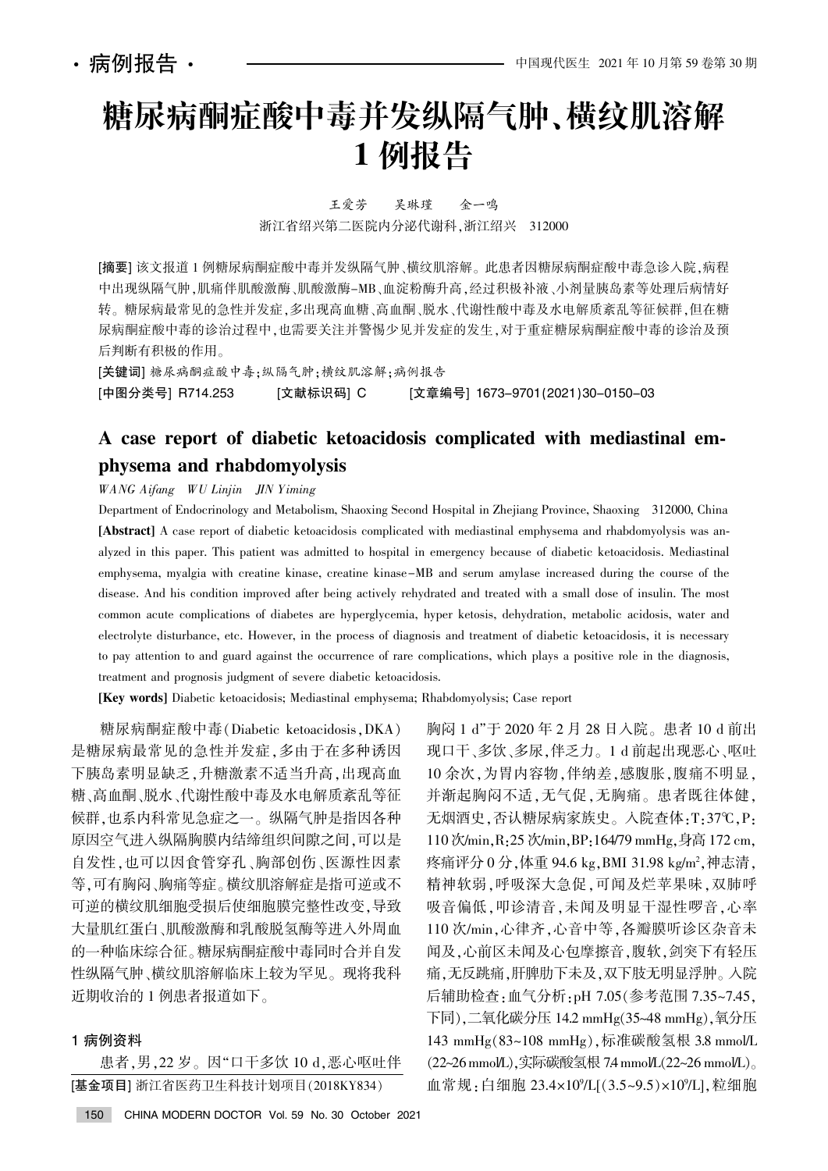# 糖尿病酮症酸中毒并发纵隔气肿、横纹肌溶解 1 例报告

王爱芳 吴琳瑾 金一鸣 浙江省绍兴第二医院内分泌代谢科,浙江绍兴 312000

[摘要] 该文报道 1 例糖尿病酮症酸中毒并发纵隔气肿、横纹肌溶解。此患者因糖尿病酮症酸中毒急诊入院,病程 中出现纵隔气肿,肌痛伴肌酸激酶、肌酸激酶-MB、血淀粉酶升高,经过积极补液、小剂量胰岛素等处理后病情好 转。糖尿病最常见的急性并发症,多出现高血糖、高血酮、脱水、代谢性酸中毒及水电解质紊乱等征候群,但在糖 尿病酮症酸中毒的诊治过程中,也需要关注并警惕少见并发症的发生,对于重症糖尿病酮症酸中毒的诊治及预 后判断有积极的作用。

[关键词] 糖尿病酮症酸中毒;纵隔气肿;横纹肌溶解;病例报告

[中图分类号] R714.253 [文献标识码] C [文章编号] 1673-9701(2021)30-0150-03

## A case report of diabetic ketoacidosis complicated with mediastinal emphysema and rhabdomyolysis

WANG Aifang WU Linjin JIN Yiming

Department of Endocrinology and Metabolism, Shaoxing Second Hospital in Zhejiang Province, Shaoxing 312000, China [Abstract] A case report of diabetic ketoacidosis complicated with mediastinal emphysema and rhabdomyolysis was analyzed in this paper. This patient was admitted to hospital in emergency because of diabetic ketoacidosis. Mediastinal emphysema, myalgia with creatine kinase, creatine kinase-MB and serum amylase increased during the course of the disease. And his condition improved after being actively rehydrated and treated with a small dose of insulin. The most common acute complications of diabetes are hyperglycemia, hyper ketosis, dehydration, metabolic acidosis, water and electrolyte disturbance, etc. However, in the process of diagnosis and treatment of diabetic ketoacidosis, it is necessary to pay attention to and guard against the occurrence of rare complications, which plays a positive role in the diagnosis, treatment and prognosis judgment of severe diabetic ketoacidosis.

[Key words] Diabetic ketoacidosis; Mediastinal emphysema; Rhabdomyolysis; Case report

糖尿病酮症酸中毒(Diabetic ketoacidosis, DKA) 是糖尿病最常见的急性并发症,多由于在多种诱因 下胰岛素明显缺乏,升糖激素不适当升高,出现高血 糖、高血酮、脱水、代谢性酸中毒及水电解质紊乱等征 候群,也系内科常见急症之一。纵隔气肿是指因各种 原因空气进入纵隔胸膜内结缔组织间隙之间,可以是 自发性,也可以因食管穿孔、胸部创伤、医源性因素 等,可有胸闷、胸痛等症。横纹肌溶解症是指可逆或不 可逆的横纹肌细胞受损后使细胞膜完整性改变,导致 大量肌红蛋白、肌酸激酶和乳酸脱氢酶等进入外周血 的一种临床综合征。糖尿病酮症酸中毒同时合并自发 性纵隔气肿、横纹肌溶解临床上较为罕见。现将我科 近期收治的 1 例患者报道如下。

### 1 病例资料

患者,男,22岁。因"口干多饮 10 d,恶心呕吐伴 [基金项目] 浙江省医药卫生科技计划项目(2018KY834)

胸闷 1 d"于 2020 年 2 月 28 日入院。患者 10 d 前出 现口干、多饮、多尿,伴乏力。1d 前起出现恶心、呕吐 10 余次,为胃内容物,伴纳差,感腹胀,腹痛不明显, 并渐起胸闷不适,无气促,无胸痛。患者既往体健, 无烟酒史,否认糖尿病家族史。入院查体:T:37℃,P: 110 次/min, R: 25 次/min, BP: 164/79 mmHg, 身高 172 cm, 疼痛评分 0 分 ,体重 94.6 kg,BMI 31.98 kg/m<sup>2</sup>,神志清 , 精神软弱,呼吸深大急促,可闻及烂苹果味,双肺呼 吸音偏低,叩诊清音,未闻及明显干湿性啰音,心率 110 次/min, 心律齐, 心音中等, 各瓣膜听诊区杂音未 闻及,心前区未闻及心包摩擦音,腹软,剑突下有轻压 痛,无反跳痛,肝脾肋下未及,双下肢无明显浮肿。入院 后辅助检查: 血气分析: pH 7.05 (参考范围 7.35~7.45, 下同),二氧化碳分压 14.2 mmHg(35~48 mmHg),氧分压 143 mmHg(83~108 mmHg), 标准碳酸氢根 3.8 mmol/L (22~26 mmol/L),实际碳酸氢根 7.4 mmol/L(22~26 mmol/L)。 血常规:白细胞 23.4×10%L[(3.5~9.5)×10%L],粒细胞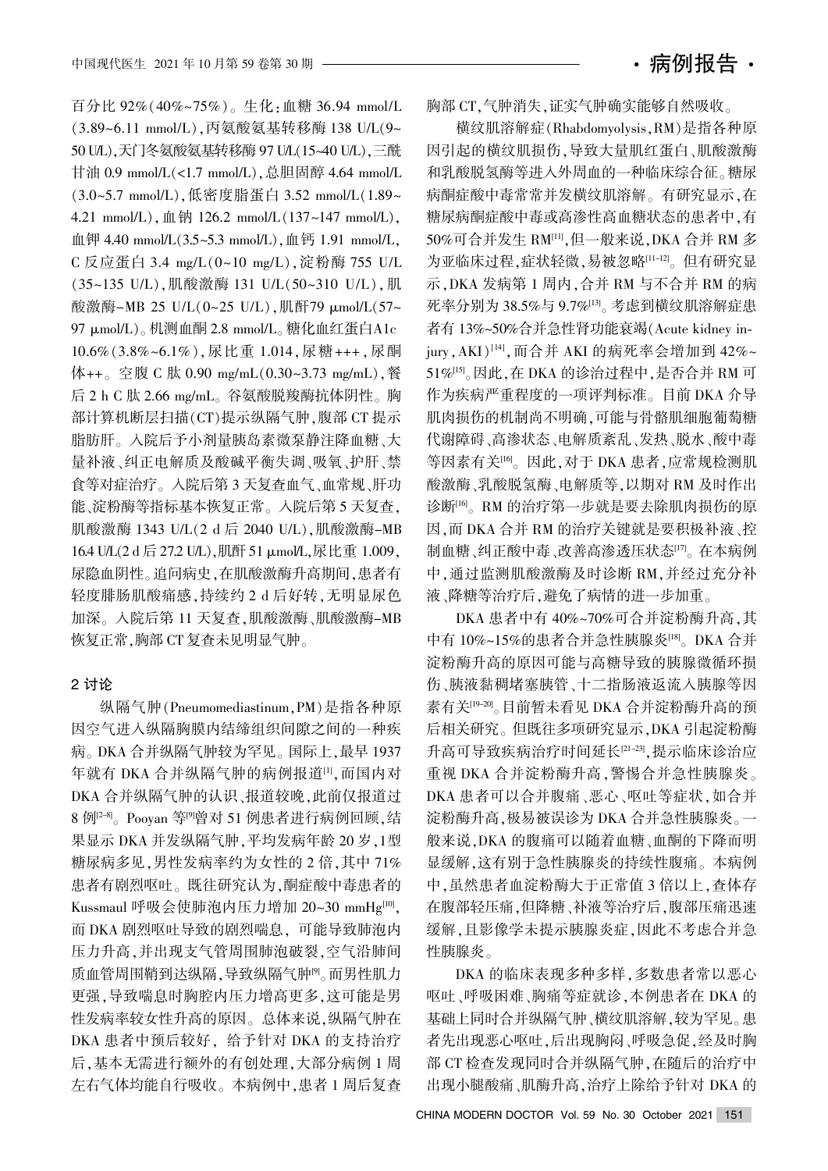百分比 92% (40%~75%)。生化:血糖 36.94 mmol/L (3.89~6.11 mmol/L), 丙氨酸氨基转移酶 138 U/L(9~ 50 U/L). 天门冬氨酸氨基转移酶 97 U/L(15~40 U/L). 三酰 甘油 0.9 mmol/L(<1.7 mmol/L), 总胆固醇 4.64 mmol/L (3.0~5.7 mmol/L), 低密度脂蛋白 3.52 mmol/L(1.89~  $4.21 \text{ mmol/L}, \text{ 126.2 mmol/L} (137~147 \text{ mmol/L}).$ 血钾 4.40 mmol/L $(3.5 \sim 5.3 \text{ mmol/L})$ , 血钙 1.91 mmol/L, C 反应蛋白 3.4 mg/L(0~10 mg/L),淀粉酶 755 U/L (35~135 U/L),肌酸激酶 131 U/L(50~310 U/L),肌 酸激酶-MB 25 U/L(0~25 U/L),肌酐79 μmol/L(57~ 97 μmol/L)。机测血酮 2.8 mmol/L。糖化血红蛋白A1c 10.6% (3.8%~6.1%), 尿比重 1.014, 尿糖+++, 尿酮 体++。空腹 C 肽 0.90 mg/mL $(0.30~3.73~\text{mg/mL})$ . 餐 后 2 h C 肽 2.66 mg/mL。谷氨酸脱羧酶抗体阴性。胸 部计算机断层扫描(CT)提示纵隔气肿,腹部 CT 提示 脂肪肝。入院后予小剂量胰岛素微泵静注降血糖、大 量补液、纠正电解质及酸碱平衡失调、吸氧、护肝、禁 食等对症治疗。入院后第 3 天复查血气、血常规、肝功 能、淀粉酶等指标基本恢复正常。入院后第 5 天复查, 肌酸激酶 1343 U/L(2 d 后 2040 U/L), 肌酸激酶-MB 16.4 U/L(2 d 后 27.2 U/L),肌酐 51 μmol/L,尿比重 1.009, 尿隐血阴性。追问病史,在肌酸激酶升高期间,患者有 轻度腓肠肌酸痛感,持续约 2 d 后好转,无明显尿色 加深。入院后第 11 天复查,肌酸激酶、肌酸激酶-MB 恢复正常,胸部 CT 复查未见明显气肿。

#### 2 讨论

纵隔气肿(Pneumomediastinum, PM)是指各种原 因空气进入纵隔胸膜内结缔组织间隙之间的一种疾 病。DKA 合并纵隔气肿较为罕见。国际上, 最早 1937 年就有 DKA 合并纵隔气肿的病例报道[1], 而国内对 DKA 合并纵隔气肿的认识、报道较晚,此前仅报道过 8 例<sup>[2-8]</sup>。 Pooyan 等<sup>[9]</sup>曾对 51 例患者进行病例回顾,结 果显示 DKA 并发纵隔气肿, 平均发病年龄 20 岁, 1型 糖尿病多见,男性发病率约为女性的 2 倍,其中 71% 患者有剧烈呕吐。既往研究认为,酮症酸中毒患者的 Kussmaul 呼吸会使肺泡内压力增加 20~30 mmHg[10], 而 DKA 剧烈呕吐导致的剧烈喘息,可能导致肺泡内 压力升高,并出现支气管周围肺泡破裂,空气沿肺间 质血管周围鞘到达纵隔,导致纵隔气肿<sup>[9]</sup>。而男性肌力 更强,导致喘息时胸腔内压力增高更多,这可能是男 性发病率较女性升高的原因。总体来说,纵隔气肿在 DKA 患者中预后较好, 给予针对 DKA 的支持治疗 后,基本无需进行额外的有创处理,大部分病例 1 周 左右气体均能自行吸收。本病例中,患者 1 周后复查 胸部 CT,气肿消失,证实气肿确实能够自然吸收。

横纹肌溶解症(Rhabdomyolysis, RM)是指各种原 因引起的横纹肌损伤,导致大量肌红蛋白、肌酸激酶 和乳酸脱氢酶等进入外周血的一种临床综合征。糖尿 病酮症酸中毒常常并发横纹肌溶解。有研究显示,在 糖尿病酮症酸中毒或高渗性高血糖状态的患者中,有 50%可合并发生 RM[11],但一般来说, DKA 合并 RM 多 为亚临床过程,症状轻微,易被忽略[11-12]。但有研究显 示, DKA 发病第 1 周内, 合并 RM 与不合并 RM 的病 死率分别为 38.5%与 9.7%[13]。考虑到横纹肌溶解症患 者有 13%~50%合并急性肾功能衰竭(Acute kidney injury, AKI)<sup>[14]</sup>, 而合并 AKI 的病死率会增加到 42%~ 51%[15]。因此, 在 DKA 的诊治过程中, 是否合并 RM 可 作为疾病严重程度的一项评判标准。目前 DKA 介导 肌肉损伤的机制尚不明确,可能与骨骼肌细胞葡萄糖 代谢障碍、高渗状态、电解质紊乱、发热、脱水、酸中毒 等因素有关<sup>[16]</sup>。因此,对于 DKA 患者,应常规检测肌 酸激酶、乳酸脱氢酶、电解质等,以期对 RM 及时作出 诊断<sup>[16]</sup>。RM 的治疗第一步就是要去除肌肉损伤的原 因,而 DKA 合并 RM 的治疗关键就是要积极补液、控 制血糖、纠正酸中毒、改善高渗透压状态[17]。在本病例 中,通过监测肌酸激酶及时诊断 RM,并经过充分补 液、降糖等治疗后,避免了病情的进一步加重。

DKA 患者中有 40%~70%可合并淀粉酶升高,其 中有 10%~15%的患者合并急性胰腺炎[18]。DKA 合并 淀粉酶升高的原因可能与高糖导致的胰腺微循环损 伤、胰液黏稠堵塞胰管、十二指肠液返流入胰腺等因 素有关[19-20]。目前暂未看见 DKA 合并淀粉酶升高的预 后相关研究。但既往多项研究显示, DKA 引起淀粉酶 升高可导致疾病治疗时间延长[21-23],提示临床诊治应 重视 DKA 合并淀粉酶升高,警惕合并急性胰腺炎。 DKA 患者可以合并腹痛、恶心、呕吐等症状,如合并 淀粉酶升高,极易被误诊为 DKA 合并急性胰腺炎。一 般来说,DKA 的腹痛可以随着血糖、血酮的下降而明 显缓解, 这有别于急性胰腺炎的持续性腹痛。本病例 中,虽然患者血淀粉酶大于正常值 3 倍以上,查体存 在腹部轻压痛,但降糖、补液等治疗后,腹部压痛迅速 缓解,且影像学未提示胰腺炎症,因此不考虑合并急 性胰腺炎。

DKA 的临床表现多种多样,多数患者常以恶心 呕吐、呼吸困难、胸痛等症就诊,本例患者在 DKA 的 基础上同时合并纵隔气肿、横纹肌溶解,较为罕见。患 者先出现恶心呕吐,后出现胸闷、呼吸急促,经及时胸 部 CT 检查发现同时合并纵隔气肿,在随后的治疗中 出现小腿酸痛、肌酶升高, 治疗上除给予针对 DKA 的